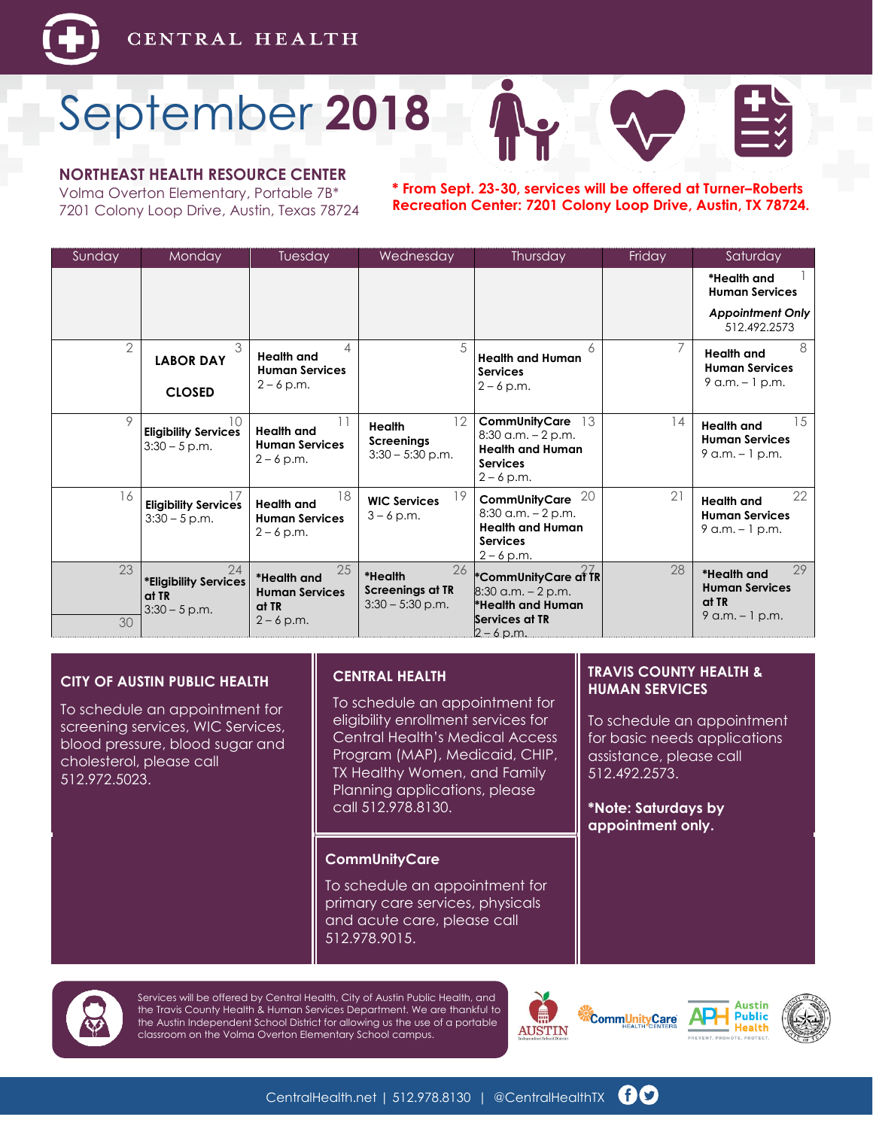

# September **2018**

## **NORTHEAST HEALTH RESOURCE CENTER**

Volma Overton Elementary, Portable 7B\* 7201 Colony Loop Drive, Austin, Texas 78724 **\* From Sept. 23-30, services will be offered at Turner–Roberts Recreation Center: 7201 Colony Loop Drive, Austin, TX 78724.**

| Sunday         | Monday                                                  | Tuesday                                                             | Wednesday                                                      | Thursday                                                                                                                 | Friday | Saturday                                                                              |
|----------------|---------------------------------------------------------|---------------------------------------------------------------------|----------------------------------------------------------------|--------------------------------------------------------------------------------------------------------------------------|--------|---------------------------------------------------------------------------------------|
|                |                                                         |                                                                     |                                                                |                                                                                                                          |        | *Health and<br><b>Human Services</b>                                                  |
|                |                                                         |                                                                     |                                                                |                                                                                                                          |        | <b>Appointment Only</b><br>512.492.2573                                               |
| $\overline{2}$ | 3<br><b>LABOR DAY</b><br><b>CLOSED</b>                  | 4<br><b>Health and</b><br><b>Human Services</b><br>$2 - 6$ p.m.     | 5                                                              | 6<br><b>Health and Human</b><br><b>Services</b><br>$2 - 6$ p.m.                                                          |        | 8<br>Health and<br><b>Human Services</b><br>$9$ a.m. $-1$ p.m.                        |
| 9              | <b>Eligibility Services</b><br>$3:30 - 5$ p.m.          | <b>Health</b> and<br><b>Human Services</b><br>$2 - 6$ p.m.          | 12<br>Health<br><b>Screenings</b><br>$3:30 - 5:30$ p.m.        | CommUnityCare<br>13<br>$8:30$ a.m. $-2$ p.m.<br><b>Health and Human</b><br><b>Services</b><br>$2 - 6$ p.m.               | 14     | 15<br><b>Health</b> and<br><b>Human Services</b><br>$9$ a.m. $-1$ p.m.                |
| 16             | <b>Eligibility Services</b><br>$3:30 - 5$ p.m.          | 18<br><b>Health</b> and<br><b>Human Services</b><br>$2 - 6$ p.m.    | 19<br><b>WIC Services</b><br>$3 - 6$ p.m.                      | 20<br>CommUnityCare<br>$8:30$ a.m. $-2$ p.m.<br><b>Health and Human</b><br><b>Services</b><br>$2 - 6$ p.m.               | 21     | $22 \overline{ }$<br><b>Health</b> and<br><b>Human Services</b><br>$9$ a.m. $-1$ p.m. |
| 23<br>30       | 24<br>*Eligibility Services<br>at TR<br>$3:30 - 5$ p.m. | 25<br>*Health and<br><b>Human Services</b><br>at TR<br>$2 - 6$ p.m. | 26<br>*Health<br><b>Screenings at TR</b><br>$3:30 - 5:30$ p.m. | *CommUnityCare at $\widehat{{\mathsf{IR}}}$<br>8:30 a.m. - 2 p.m.<br>*Health and Human<br>Services at TR<br>$2 - 6$ p.m. | 28     | 29<br>*Health and<br><b>Human Services</b><br>at TR<br>$9$ a.m. $-1$ p.m.             |

## **CITY OF AUSTIN PUBLIC HEALTH**

To schedule an appointment for screening services, WIC Services, blood pressure, blood sugar and cholesterol, please call 512.972.5023.

## **CENTRAL HEALTH**

To schedule an appointment for eligibility enrollment services for Central Health's Medical Access Program (MAP), Medicaid, CHIP, TX Healthy Women, and Family Planning applications, please call 512.978.8130.

#### **CommUnityCare**

To schedule an appointment for primary care services, physicals and acute care, please call 512.978.9015.

## **TRAVIS COUNTY HEALTH & HUMAN SERVICES**

To schedule an appointment for basic needs applications assistance, please call 512.492.2573.

**\*Note: Saturdays by appointment only.**



Services will be offered by Central Health, City of Austin Public Health, and the Travis County Health & Human Services Department. We are thankful to the Austin Independent School District for allowing us the use of a portable classroom on the Volma Overton Elementary School campus.